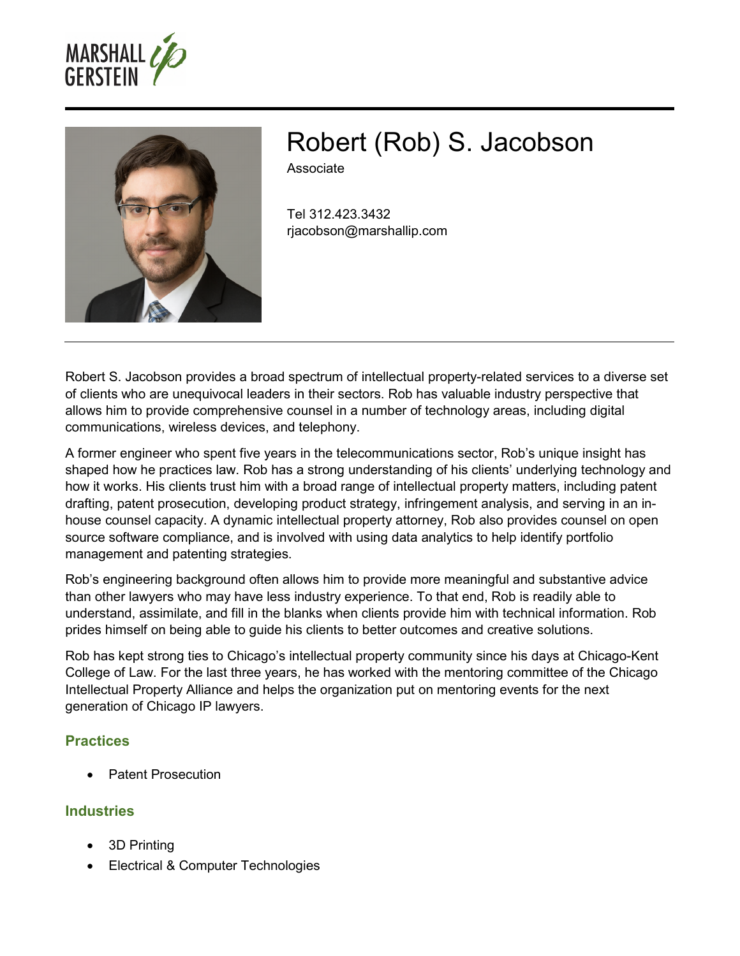



# Robert (Rob) S. Jacobson

Associate

Tel 312.423.3432 rjacobson@marshallip.com

Robert S. Jacobson provides a broad spectrum of intellectual property-related services to a diverse set of clients who are unequivocal leaders in their sectors. Rob has valuable industry perspective that allows him to provide comprehensive counsel in a number of technology areas, including digital communications, wireless devices, and telephony.

A former engineer who spent five years in the telecommunications sector, Rob's unique insight has shaped how he practices law. Rob has a strong understanding of his clients' underlying technology and how it works. His clients trust him with a broad range of intellectual property matters, including patent drafting, patent prosecution, developing product strategy, infringement analysis, and serving in an inhouse counsel capacity. A dynamic intellectual property attorney, Rob also provides counsel on open source software compliance, and is involved with using data analytics to help identify portfolio management and patenting strategies.

Rob's engineering background often allows him to provide more meaningful and substantive advice than other lawyers who may have less industry experience. To that end, Rob is readily able to understand, assimilate, and fill in the blanks when clients provide him with technical information. Rob prides himself on being able to guide his clients to better outcomes and creative solutions.

Rob has kept strong ties to Chicago's intellectual property community since his days at Chicago-Kent College of Law. For the last three years, he has worked with the mentoring committee of the Chicago Intellectual Property Alliance and helps the organization put on mentoring events for the next generation of Chicago IP lawyers.

#### **Practices**

Patent Prosecution

## **Industries**

- 3D Printing
- Electrical & Computer Technologies